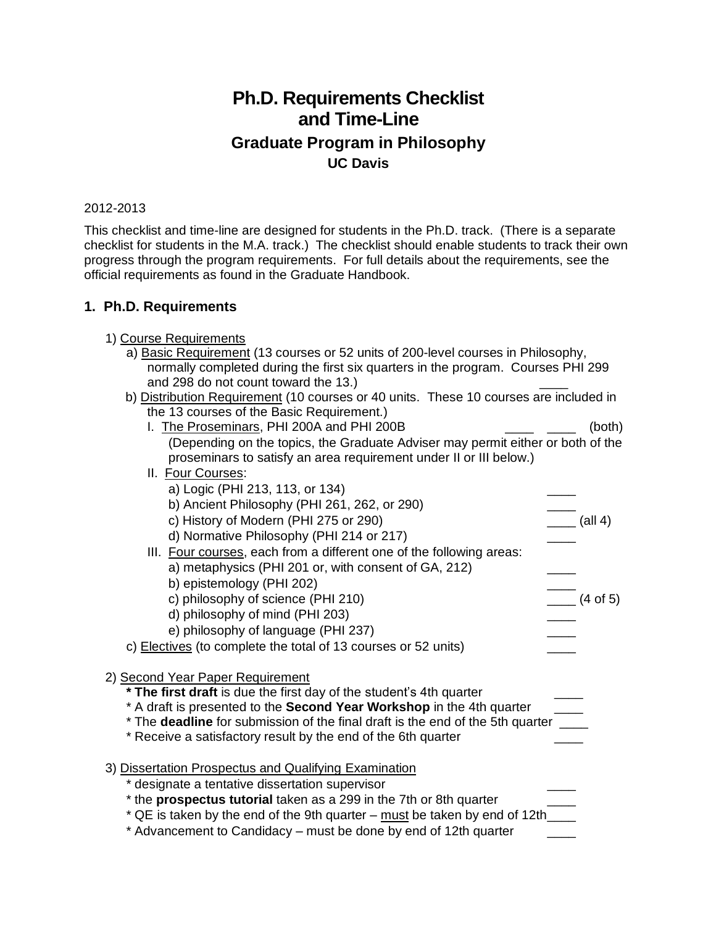## **Ph.D. Requirements Checklist and Time-Line Graduate Program in Philosophy UC Davis**

## 2012-2013

This checklist and time-line are designed for students in the Ph.D. track. (There is a separate checklist for students in the M.A. track.) The checklist should enable students to track their own progress through the program requirements. For full details about the requirements, see the official requirements as found in the Graduate Handbook.

## **1. Ph.D. Requirements**

- 1) Course Requirements a) Basic Requirement (13 courses or 52 units of 200-level courses in Philosophy, normally completed during the first six quarters in the program. Courses PHI 299 and 298 do not count toward the 13.)
	- b) Distribution Requirement (10 courses or 40 units. These 10 courses are included in the 13 courses of the Basic Requirement.)
		- I. The Proseminars, PHI 200A and PHI 200B **Fig. 1.** (both) (Depending on the topics, the Graduate Adviser may permit either or both of the proseminars to satisfy an area requirement under II or III below.)
		- II. Four Courses:
	- a) Logic (PHI 213, 113, or 134) b) Ancient Philosophy (PHI 261, 262, or 290)<br>
	c) History of Modern (PHI 275 or 290)  $\qquad \qquad \qquad$  (all 4) c) History of Modern (PHI 275 or 290) d) Normative Philosophy (PHI 214 or 217) III. Four courses, each from a different one of the following areas: a) metaphysics (PHI 201 or, with consent of GA, 212) b) epistemology (PHI 202)<br>
	c) philosophy of science (PHI 210)  $\qquad \qquad \qquad$  (4 of 5) c) philosophy of science (PHI 210) d) philosophy of mind (PHI 203) \_\_\_\_ e) philosophy of language (PHI 237) c) Electives (to complete the total of 13 courses or 52 units) 2) Second Year Paper Requirement **\* The first draft** is due the first day of the student's 4th quarter \_\_\_\_ \* A draft is presented to the **Second Year Workshop** in the 4th quarter \_\_\_\_ \* The **deadline** for submission of the final draft is the end of the 5th quarter \_\_\_\_ \* Receive a satisfactory result by the end of the 6th quarter \_\_\_\_ 3) Dissertation Prospectus and Qualifying Examination \* designate a tentative dissertation supervisor \_\_\_\_ \* the **prospectus tutorial** taken as a 299 in the 7th or 8th quarter \_\_\_\_  $*$  QE is taken by the end of the 9th quarter – must be taken by end of 12th  $\frac{1}{\sqrt{1-\frac{1}{n}}}\$ \* Advancement to Candidacy – must be done by end of 12th quarter \_\_\_\_